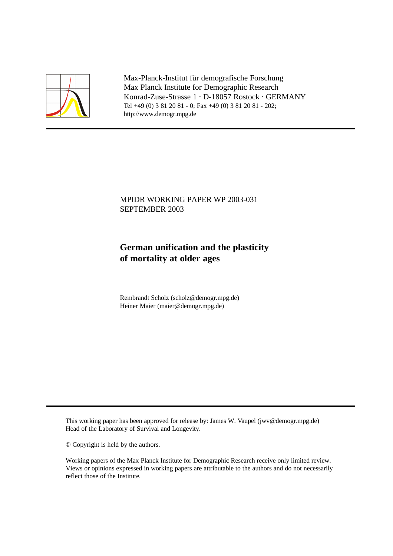

Max-Planck-Institut für demografische Forschung Max Planck Institute for Demographic Research Konrad-Zuse-Strasse 1 · D-18057 Rostock · GERMANY Tel +49 (0) 3 81 20 81 - 0; Fax +49 (0) 3 81 20 81 - 202; http://www.demogr.mpg.de

# MPIDR WORKING PAPER WP 2003-031 SEPTEMBER 2003

# **German unification and the plasticity of mortality at older ages**

Rembrandt Scholz (scholz@demogr.mpg.de) Heiner Maier (maier@demogr.mpg.de)

This working paper has been approved for release by: James W. Vaupel (jwv@demogr.mpg.de) Head of the Laboratory of Survival and Longevity.

© Copyright is held by the authors.

Working papers of the Max Planck Institute for Demographic Research receive only limited review. Views or opinions expressed in working papers are attributable to the authors and do not necessarily reflect those of the Institute.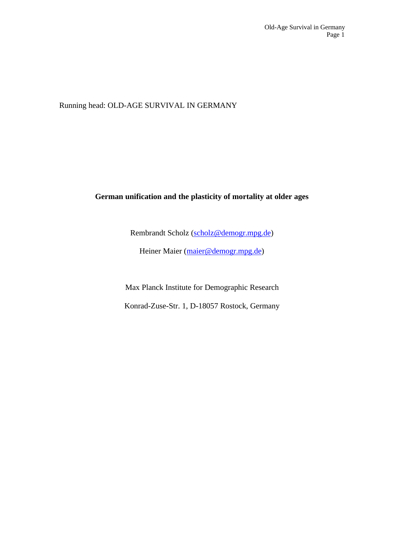Running head: OLD-AGE SURVIVAL IN GERMANY

# **German unification and the plasticity of mortality at older ages**

Rembrandt Scholz (scholz@demogr.mpg.de)

Heiner Maier (maier@demogr.mpg.de)

Max Planck Institute for Demographic Research Konrad-Zuse-Str. 1, D-18057 Rostock, Germany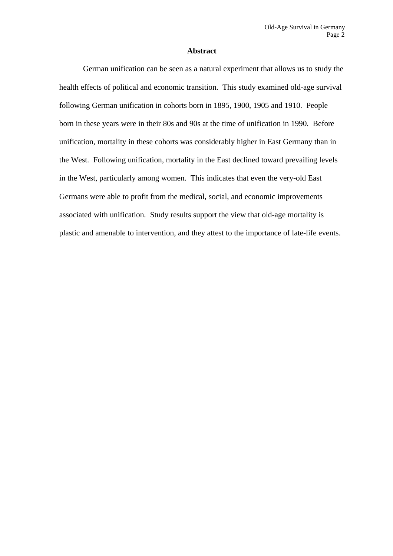#### **Abstract**

German unification can be seen as a natural experiment that allows us to study the health effects of political and economic transition. This study examined old-age survival following German unification in cohorts born in 1895, 1900, 1905 and 1910. People born in these years were in their 80s and 90s at the time of unification in 1990. Before unification, mortality in these cohorts was considerably higher in East Germany than in the West. Following unification, mortality in the East declined toward prevailing levels in the West, particularly among women. This indicates that even the very-old East Germans were able to profit from the medical, social, and economic improvements associated with unification. Study results support the view that old-age mortality is plastic and amenable to intervention, and they attest to the importance of late-life events.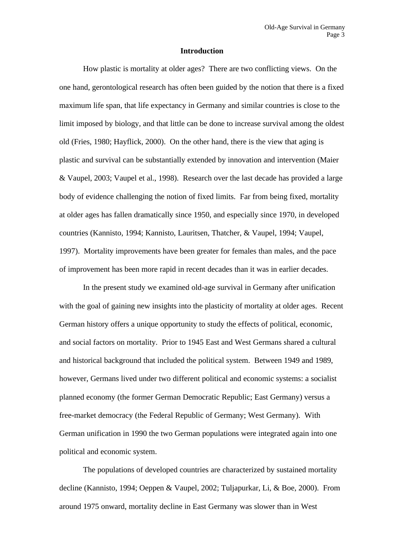### **Introduction**

How plastic is mortality at older ages? There are two conflicting views. On the one hand, gerontological research has often been guided by the notion that there is a fixed maximum life span, that life expectancy in Germany and similar countries is close to the limit imposed by biology, and that little can be done to increase survival among the oldest old (Fries, 1980; Hayflick, 2000). On the other hand, there is the view that aging is plastic and survival can be substantially extended by innovation and intervention (Maier & Vaupel, 2003; Vaupel et al., 1998). Research over the last decade has provided a large body of evidence challenging the notion of fixed limits. Far from being fixed, mortality at older ages has fallen dramatically since 1950, and especially since 1970, in developed countries (Kannisto, 1994; Kannisto, Lauritsen, Thatcher, & Vaupel, 1994; Vaupel, 1997). Mortality improvements have been greater for females than males, and the pace of improvement has been more rapid in recent decades than it was in earlier decades.

In the present study we examined old-age survival in Germany after unification with the goal of gaining new insights into the plasticity of mortality at older ages. Recent German history offers a unique opportunity to study the effects of political, economic, and social factors on mortality. Prior to 1945 East and West Germans shared a cultural and historical background that included the political system. Between 1949 and 1989, however, Germans lived under two different political and economic systems: a socialist planned economy (the former German Democratic Republic; East Germany) versus a free-market democracy (the Federal Republic of Germany; West Germany). With German unification in 1990 the two German populations were integrated again into one political and economic system.

The populations of developed countries are characterized by sustained mortality decline (Kannisto, 1994; Oeppen & Vaupel, 2002; Tuljapurkar, Li, & Boe, 2000). From around 1975 onward, mortality decline in East Germany was slower than in West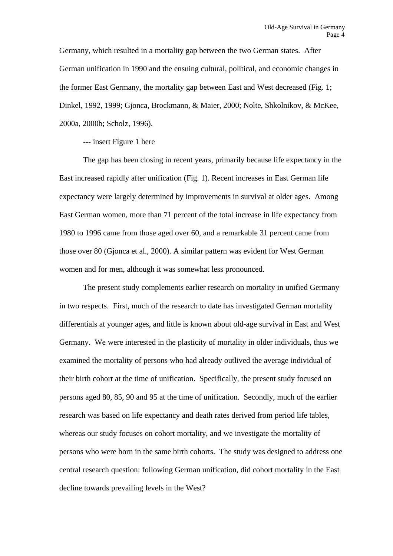Germany, which resulted in a mortality gap between the two German states. After German unification in 1990 and the ensuing cultural, political, and economic changes in the former East Germany, the mortality gap between East and West decreased (Fig. 1; Dinkel, 1992, 1999; Gjonca, Brockmann, & Maier, 2000; Nolte, Shkolnikov, & McKee, 2000a, 2000b; Scholz, 1996).

--- insert Figure 1 here

The gap has been closing in recent years, primarily because life expectancy in the East increased rapidly after unification (Fig. 1). Recent increases in East German life expectancy were largely determined by improvements in survival at older ages. Among East German women, more than 71 percent of the total increase in life expectancy from 1980 to 1996 came from those aged over 60, and a remarkable 31 percent came from those over 80 (Gjonca et al., 2000). A similar pattern was evident for West German women and for men, although it was somewhat less pronounced.

The present study complements earlier research on mortality in unified Germany in two respects. First, much of the research to date has investigated German mortality differentials at younger ages, and little is known about old-age survival in East and West Germany. We were interested in the plasticity of mortality in older individuals, thus we examined the mortality of persons who had already outlived the average individual of their birth cohort at the time of unification. Specifically, the present study focused on persons aged 80, 85, 90 and 95 at the time of unification. Secondly, much of the earlier research was based on life expectancy and death rates derived from period life tables, whereas our study focuses on cohort mortality, and we investigate the mortality of persons who were born in the same birth cohorts. The study was designed to address one central research question: following German unification, did cohort mortality in the East decline towards prevailing levels in the West?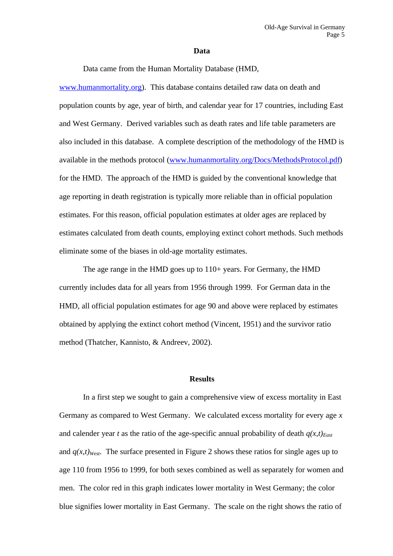#### **Data**

Data came from the Human Mortality Database (HMD,

www.humanmortality.org). This database contains detailed raw data on death and population counts by age, year of birth, and calendar year for 17 countries, including East and West Germany. Derived variables such as death rates and life table parameters are also included in this database. A complete description of the methodology of the HMD is available in the methods protocol (www.humanmortality.org/Docs/MethodsProtocol.pdf) for the HMD. The approach of the HMD is guided by the conventional knowledge that age reporting in death registration is typically more reliable than in official population estimates. For this reason, official population estimates at older ages are replaced by estimates calculated from death counts, employing extinct cohort methods. Such methods eliminate some of the biases in old-age mortality estimates.

The age range in the HMD goes up to 110+ years. For Germany, the HMD currently includes data for all years from 1956 through 1999. For German data in the HMD, all official population estimates for age 90 and above were replaced by estimates obtained by applying the extinct cohort method (Vincent, 1951) and the survivor ratio method (Thatcher, Kannisto, & Andreev, 2002).

#### **Results**

In a first step we sought to gain a comprehensive view of excess mortality in East Germany as compared to West Germany. We calculated excess mortality for every age *x* and calender year *t* as the ratio of the age-specific annual probability of death  $q(x,t)_{\text{East}}$ and  $q(x,t)_{West}$ . The surface presented in Figure 2 shows these ratios for single ages up to age 110 from 1956 to 1999, for both sexes combined as well as separately for women and men. The color red in this graph indicates lower mortality in West Germany; the color blue signifies lower mortality in East Germany. The scale on the right shows the ratio of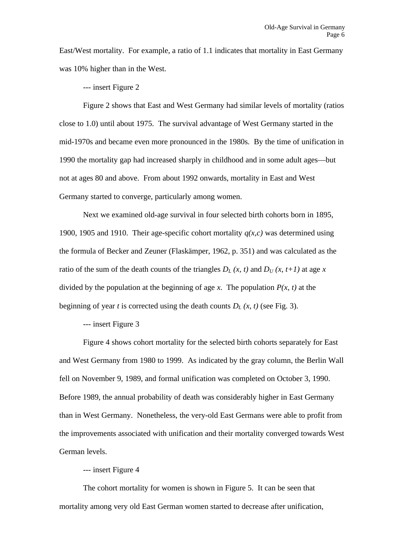East/West mortality. For example, a ratio of 1.1 indicates that mortality in East Germany was 10% higher than in the West.

--- insert Figure 2

Figure 2 shows that East and West Germany had similar levels of mortality (ratios close to 1.0) until about 1975. The survival advantage of West Germany started in the mid-1970s and became even more pronounced in the 1980s. By the time of unification in 1990 the mortality gap had increased sharply in childhood and in some adult ages—but not at ages 80 and above. From about 1992 onwards, mortality in East and West Germany started to converge, particularly among women.

Next we examined old-age survival in four selected birth cohorts born in 1895, 1900, 1905 and 1910. Their age-specific cohort mortality *q(x,c)* was determined using the formula of Becker and Zeuner (Flaskämper, 1962, p. 351) and was calculated as the ratio of the sum of the death counts of the triangles  $D_L(x, t)$  and  $D_U(x, t+1)$  at age x divided by the population at the beginning of age *x*. The population  $P(x, t)$  at the beginning of year *t* is corrected using the death counts  $D<sub>L</sub>(x, t)$  (see Fig. 3).

--- insert Figure 3

Figure 4 shows cohort mortality for the selected birth cohorts separately for East and West Germany from 1980 to 1999. As indicated by the gray column, the Berlin Wall fell on November 9, 1989, and formal unification was completed on October 3, 1990. Before 1989, the annual probability of death was considerably higher in East Germany than in West Germany. Nonetheless, the very-old East Germans were able to profit from the improvements associated with unification and their mortality converged towards West German levels.

### --- insert Figure 4

The cohort mortality for women is shown in Figure 5. It can be seen that mortality among very old East German women started to decrease after unification,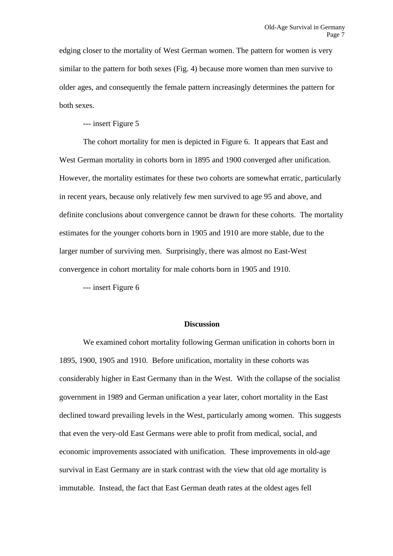edging closer to the mortality of West German women. The pattern for women is very similar to the pattern for both sexes (Fig. 4) because more women than men survive to older ages, and consequently the female pattern increasingly determines the pattern for both sexes.

--- insert Figure 5

The cohort mortality for men is depicted in Figure 6. It appears that East and West German mortality in cohorts born in 1895 and 1900 converged after unification. However, the mortality estimates for these two cohorts are somewhat erratic, particularly in recent years, because only relatively few men survived to age 95 and above, and definite conclusions about convergence cannot be drawn for these cohorts. The mortality estimates for the younger cohorts born in 1905 and 1910 are more stable, due to the larger number of surviving men. Surprisingly, there was almost no East-West convergence in cohort mortality for male cohorts born in 1905 and 1910.

--- insert Figure 6

#### **Discussion**

We examined cohort mortality following German unification in cohorts born in 1895, 1900, 1905 and 1910. Before unification, mortality in these cohorts was considerably higher in East Germany than in the West. With the collapse of the socialist government in 1989 and German unification a year later, cohort mortality in the East declined toward prevailing levels in the West, particularly among women. This suggests that even the very-old East Germans were able to profit from medical, social, and economic improvements associated with unification. These improvements in old-age survival in East Germany are in stark contrast with the view that old age mortality is immutable. Instead, the fact that East German death rates at the oldest ages fell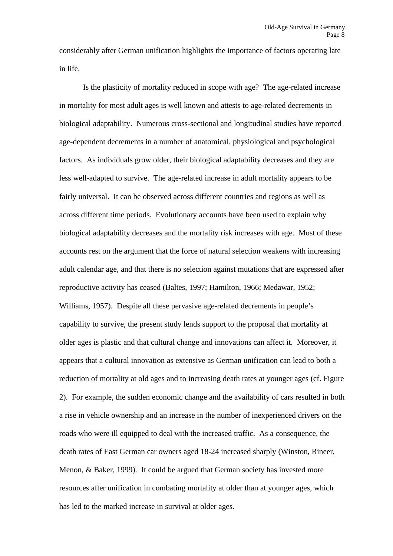considerably after German unification highlights the importance of factors operating late in life.

Is the plasticity of mortality reduced in scope with age? The age-related increase in mortality for most adult ages is well known and attests to age-related decrements in biological adaptability. Numerous cross-sectional and longitudinal studies have reported age-dependent decrements in a number of anatomical, physiological and psychological factors. As individuals grow older, their biological adaptability decreases and they are less well-adapted to survive. The age-related increase in adult mortality appears to be fairly universal. It can be observed across different countries and regions as well as across different time periods. Evolutionary accounts have been used to explain why biological adaptability decreases and the mortality risk increases with age. Most of these accounts rest on the argument that the force of natural selection weakens with increasing adult calendar age, and that there is no selection against mutations that are expressed after reproductive activity has ceased (Baltes, 1997; Hamilton, 1966; Medawar, 1952; Williams, 1957). Despite all these pervasive age-related decrements in people's capability to survive, the present study lends support to the proposal that mortality at older ages is plastic and that cultural change and innovations can affect it. Moreover, it appears that a cultural innovation as extensive as German unification can lead to both a reduction of mortality at old ages and to increasing death rates at younger ages (cf. Figure 2). For example, the sudden economic change and the availability of cars resulted in both a rise in vehicle ownership and an increase in the number of inexperienced drivers on the roads who were ill equipped to deal with the increased traffic. As a consequence, the death rates of East German car owners aged 18-24 increased sharply (Winston, Rineer, Menon, & Baker, 1999). It could be argued that German society has invested more resources after unification in combating mortality at older than at younger ages, which has led to the marked increase in survival at older ages.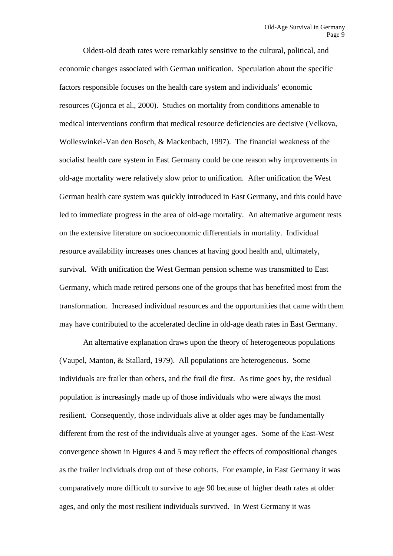Oldest-old death rates were remarkably sensitive to the cultural, political, and economic changes associated with German unification. Speculation about the specific factors responsible focuses on the health care system and individuals' economic resources (Gjonca et al., 2000). Studies on mortality from conditions amenable to medical interventions confirm that medical resource deficiencies are decisive (Velkova, Wolleswinkel-Van den Bosch, & Mackenbach, 1997). The financial weakness of the socialist health care system in East Germany could be one reason why improvements in old-age mortality were relatively slow prior to unification. After unification the West German health care system was quickly introduced in East Germany, and this could have led to immediate progress in the area of old-age mortality. An alternative argument rests on the extensive literature on socioeconomic differentials in mortality. Individual resource availability increases ones chances at having good health and, ultimately, survival. With unification the West German pension scheme was transmitted to East Germany, which made retired persons one of the groups that has benefited most from the transformation. Increased individual resources and the opportunities that came with them may have contributed to the accelerated decline in old-age death rates in East Germany.

An alternative explanation draws upon the theory of heterogeneous populations (Vaupel, Manton, & Stallard, 1979). All populations are heterogeneous. Some individuals are frailer than others, and the frail die first. As time goes by, the residual population is increasingly made up of those individuals who were always the most resilient. Consequently, those individuals alive at older ages may be fundamentally different from the rest of the individuals alive at younger ages. Some of the East-West convergence shown in Figures 4 and 5 may reflect the effects of compositional changes as the frailer individuals drop out of these cohorts. For example, in East Germany it was comparatively more difficult to survive to age 90 because of higher death rates at older ages, and only the most resilient individuals survived. In West Germany it was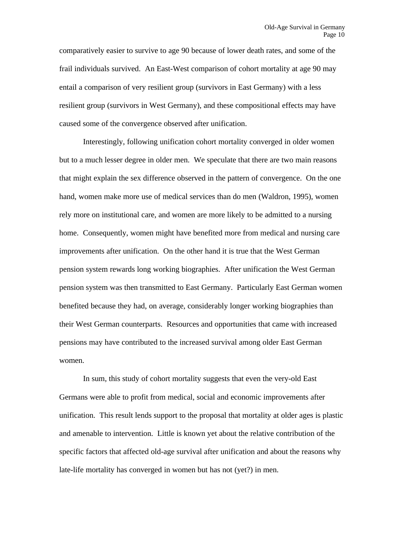comparatively easier to survive to age 90 because of lower death rates, and some of the frail individuals survived. An East-West comparison of cohort mortality at age 90 may entail a comparison of very resilient group (survivors in East Germany) with a less resilient group (survivors in West Germany), and these compositional effects may have caused some of the convergence observed after unification.

Interestingly, following unification cohort mortality converged in older women but to a much lesser degree in older men. We speculate that there are two main reasons that might explain the sex difference observed in the pattern of convergence. On the one hand, women make more use of medical services than do men (Waldron, 1995), women rely more on institutional care, and women are more likely to be admitted to a nursing home. Consequently, women might have benefited more from medical and nursing care improvements after unification. On the other hand it is true that the West German pension system rewards long working biographies. After unification the West German pension system was then transmitted to East Germany. Particularly East German women benefited because they had, on average, considerably longer working biographies than their West German counterparts. Resources and opportunities that came with increased pensions may have contributed to the increased survival among older East German women.

In sum, this study of cohort mortality suggests that even the very-old East Germans were able to profit from medical, social and economic improvements after unification. This result lends support to the proposal that mortality at older ages is plastic and amenable to intervention. Little is known yet about the relative contribution of the specific factors that affected old-age survival after unification and about the reasons why late-life mortality has converged in women but has not (yet?) in men.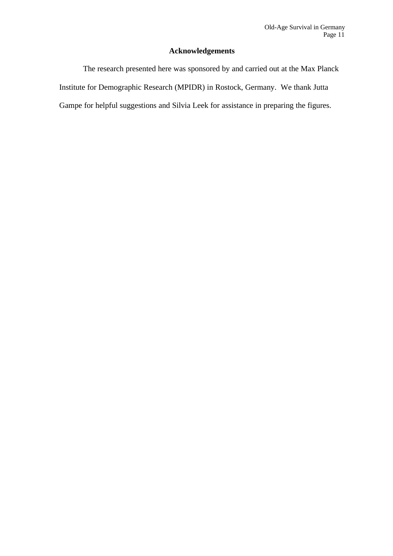# **Acknowledgements**

The research presented here was sponsored by and carried out at the Max Planck Institute for Demographic Research (MPIDR) in Rostock, Germany. We thank Jutta Gampe for helpful suggestions and Silvia Leek for assistance in preparing the figures.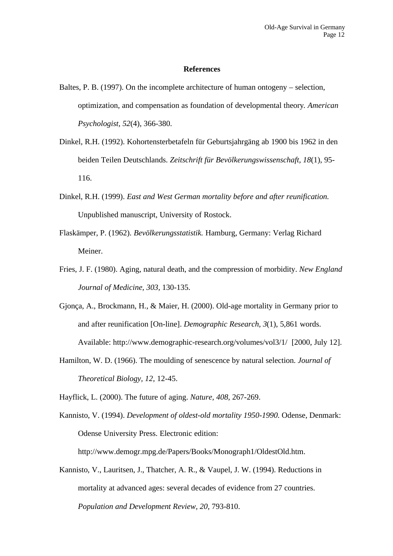#### **References**

- Baltes, P. B. (1997). On the incomplete architecture of human ontogeny selection, optimization, and compensation as foundation of developmental theory*. American Psychologist, 52*(4), 366-380.
- Dinkel, R.H. (1992). Kohortensterbetafeln für Geburtsjahrgäng ab 1900 bis 1962 in den beiden Teilen Deutschlands. *Zeitschrift für Bevölkerungswissenschaft, 18*(1), 95- 116.
- Dinkel, R.H. (1999). *East and West German mortality before and after reunification.* Unpublished manuscript, University of Rostock.
- Flaskämper, P. (1962). *Bevölkerungsstatistik.* Hamburg, Germany: Verlag Richard Meiner.
- Fries, J. F. (1980). Aging, natural death, and the compression of morbidity. *New England Journal of Medicine, 303,* 130-135.
- Gjonça, A., Brockmann, H., & Maier, H. (2000). Old-age mortality in Germany prior to and after reunification [On-line]. *Demographic Research, 3*(1), 5,861 words. Available: http://www.demographic-research.org/volumes/vol3/1/ [2000, July 12].
- Hamilton, W. D. (1966). The moulding of senescence by natural selection. *Journal of Theoretical Biology, 12,* 12-45.
- Hayflick, L. (2000). The future of aging. *Nature, 408,* 267-269.
- Kannisto, V. (1994). *Development of oldest-old mortality 1950-1990.* Odense, Denmark: Odense University Press. Electronic edition: http://www.demogr.mpg.de/Papers/Books/Monograph1/OldestOld.htm.
- Kannisto, V., Lauritsen, J., Thatcher, A. R., & Vaupel, J. W. (1994). Reductions in mortality at advanced ages: several decades of evidence from 27 countries. *Population and Development Review, 20,* 793-810.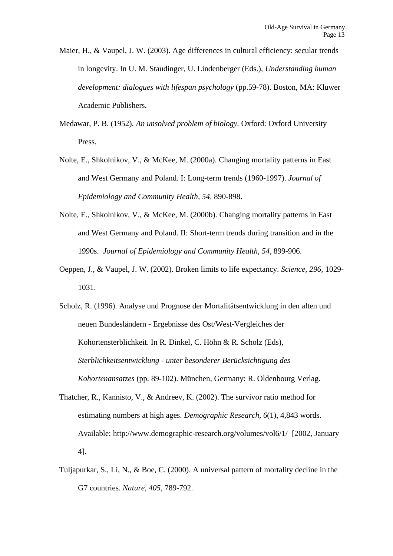- Maier, H., & Vaupel, J. W. (2003). Age differences in cultural efficiency: secular trends in longevity. In U. M. Staudinger, U. Lindenberger (Eds.), *Understanding human development: dialogues with lifespan psychology* (pp.59-78). Boston, MA: Kluwer Academic Publishers.
- Medawar, P. B. (1952). *An unsolved problem of biology.* Oxford: Oxford University Press.
- Nolte, E., Shkolnikov, V., & McKee, M. (2000a). Changing mortality patterns in East and West Germany and Poland. I: Long-term trends (1960-1997). *Journal of Epidemiology and Community Health, 54,* 890-898.
- Nolte, E., Shkolnikov, V., & McKee, M. (2000b). Changing mortality patterns in East and West Germany and Poland. II: Short-term trends during transition and in the 1990s. *Journal of Epidemiology and Community Health, 54,* 899-906.
- Oeppen, J., & Vaupel, J. W. (2002). Broken limits to life expectancy. *Science, 296,* 1029- 1031.
- Scholz, R. (1996). Analyse und Prognose der Mortalitätsentwicklung in den alten und neuen Bundesländern - Ergebnisse des Ost/West-Vergleiches der Kohortensterblichkeit. In R. Dinkel, C. Höhn & R. Scholz (Eds), *Sterblichkeitsentwicklung - unter besonderer Berücksichtigung des Kohortenansatzes* (pp. 89-102). München, Germany: R. Oldenbourg Verlag.
- Thatcher, R., Kannisto, V., & Andreev, K. (2002). The survivor ratio method for estimating numbers at high ages. *Demographic Research, 6*(1), 4,843 words. Available: http://www.demographic-research.org/volumes/vol6/1/ [2002, January 4].
- Tuljapurkar, S., Li, N., & Boe, C. (2000). A universal pattern of mortality decline in the G7 countries. *Nature, 405,* 789-792.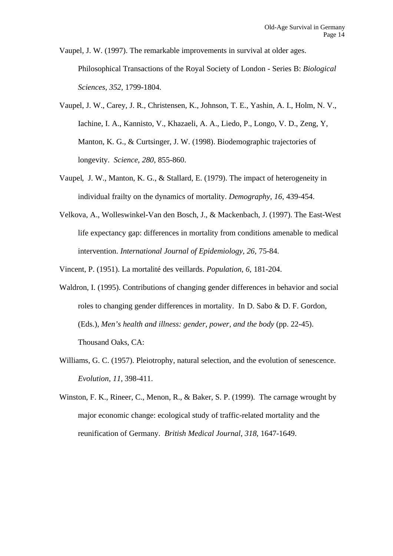Vaupel, J. W. (1997). The remarkable improvements in survival at older ages. Philosophical Transactions of the Royal Society of London - Series B: *Biological Sciences, 352,* 1799-1804.

- Vaupel, J. W., Carey, J. R., Christensen, K., Johnson, T. E., Yashin, A. I., Holm, N. V., Iachine, I. A., Kannisto, V., Khazaeli, A. A., Liedo, P., Longo, V. D., Zeng, Y, Manton, K. G., & Curtsinger, J. W. (1998). Biodemographic trajectories of longevity. *Science*, *280*, 855-860.
- Vaupel, J. W., Manton, K. G., & Stallard, E. (1979). The impact of heterogeneity in individual frailty on the dynamics of mortality. *Demography*, *16*, 439-454.
- Velkova, A., Wolleswinkel-Van den Bosch, J., & Mackenbach, J. (1997). The East-West life expectancy gap: differences in mortality from conditions amenable to medical intervention. *International Journal of Epidemiology, 26,* 75-84.

Vincent, P. (1951). La mortalité des veillards. *Population, 6,* 181-204.

- Waldron, I. (1995). Contributions of changing gender differences in behavior and social roles to changing gender differences in mortality. In D. Sabo & D. F. Gordon, (Eds.), *Men's health and illness: gender, power, and the body* (pp. 22-45). Thousand Oaks, CA:
- Williams, G. C. (1957). Pleiotrophy, natural selection, and the evolution of senescence. *Evolution, 11,* 398-411.
- Winston, F. K., Rineer, C., Menon, R., & Baker, S. P. (1999). The carnage wrought by major economic change: ecological study of traffic-related mortality and the reunification of Germany. *British Medical Journal*, *318*, 1647-1649.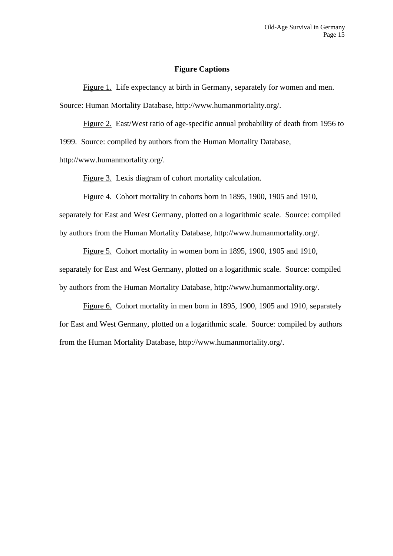#### **Figure Captions**

Figure 1. Life expectancy at birth in Germany, separately for women and men. Source: Human Mortality Database, http://www.humanmortality.org/.

Figure 2. East/West ratio of age-specific annual probability of death from 1956 to 1999. Source: compiled by authors from the Human Mortality Database,

http://www.humanmortality.org/.

Figure 3. Lexis diagram of cohort mortality calculation.

Figure 4. Cohort mortality in cohorts born in 1895, 1900, 1905 and 1910, separately for East and West Germany, plotted on a logarithmic scale. Source: compiled by authors from the Human Mortality Database, http://www.humanmortality.org/.

Figure 5. Cohort mortality in women born in 1895, 1900, 1905 and 1910, separately for East and West Germany, plotted on a logarithmic scale. Source: compiled by authors from the Human Mortality Database, http://www.humanmortality.org/.

Figure 6. Cohort mortality in men born in 1895, 1900, 1905 and 1910, separately for East and West Germany, plotted on a logarithmic scale. Source: compiled by authors from the Human Mortality Database, http://www.humanmortality.org/.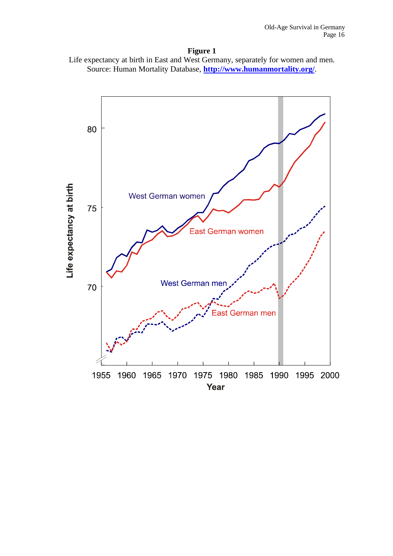

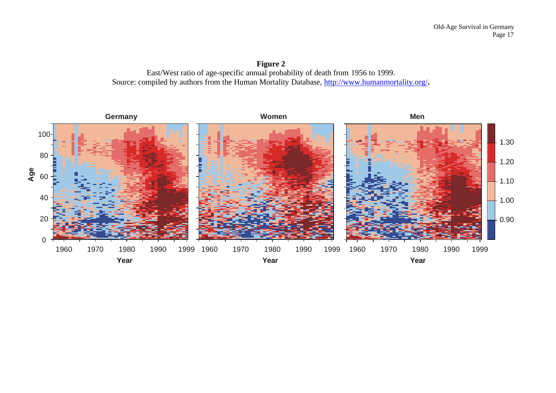**Figure 2** East/West ratio of age-specific annual probability of death from 1956 to 1999. Source: compiled by authors from the Human Mortality Database, http://www.humanmortality.org/**.**

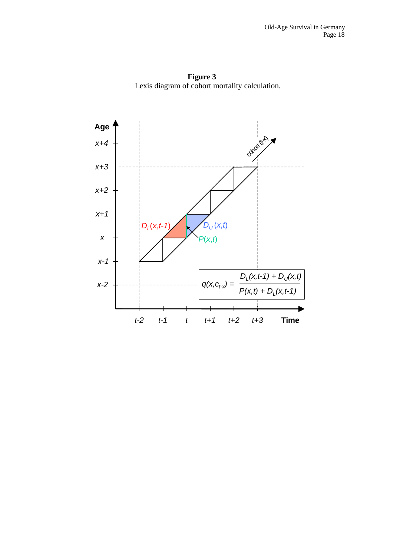**Figure 3** Lexis diagram of cohort mortality calculation.

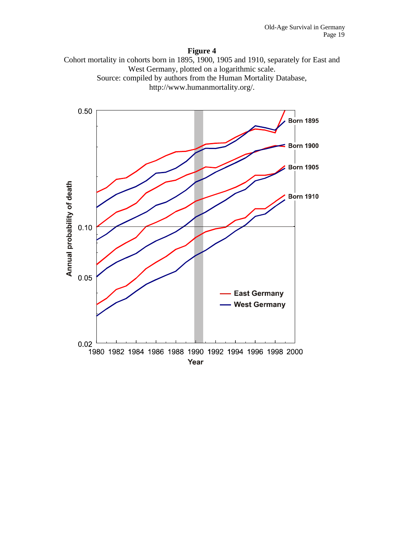### **Figure 4**



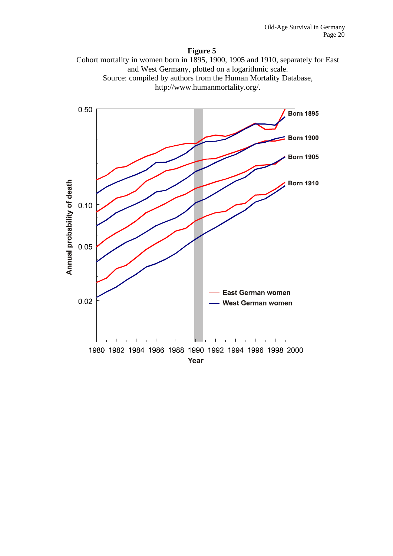### **Figure 5**